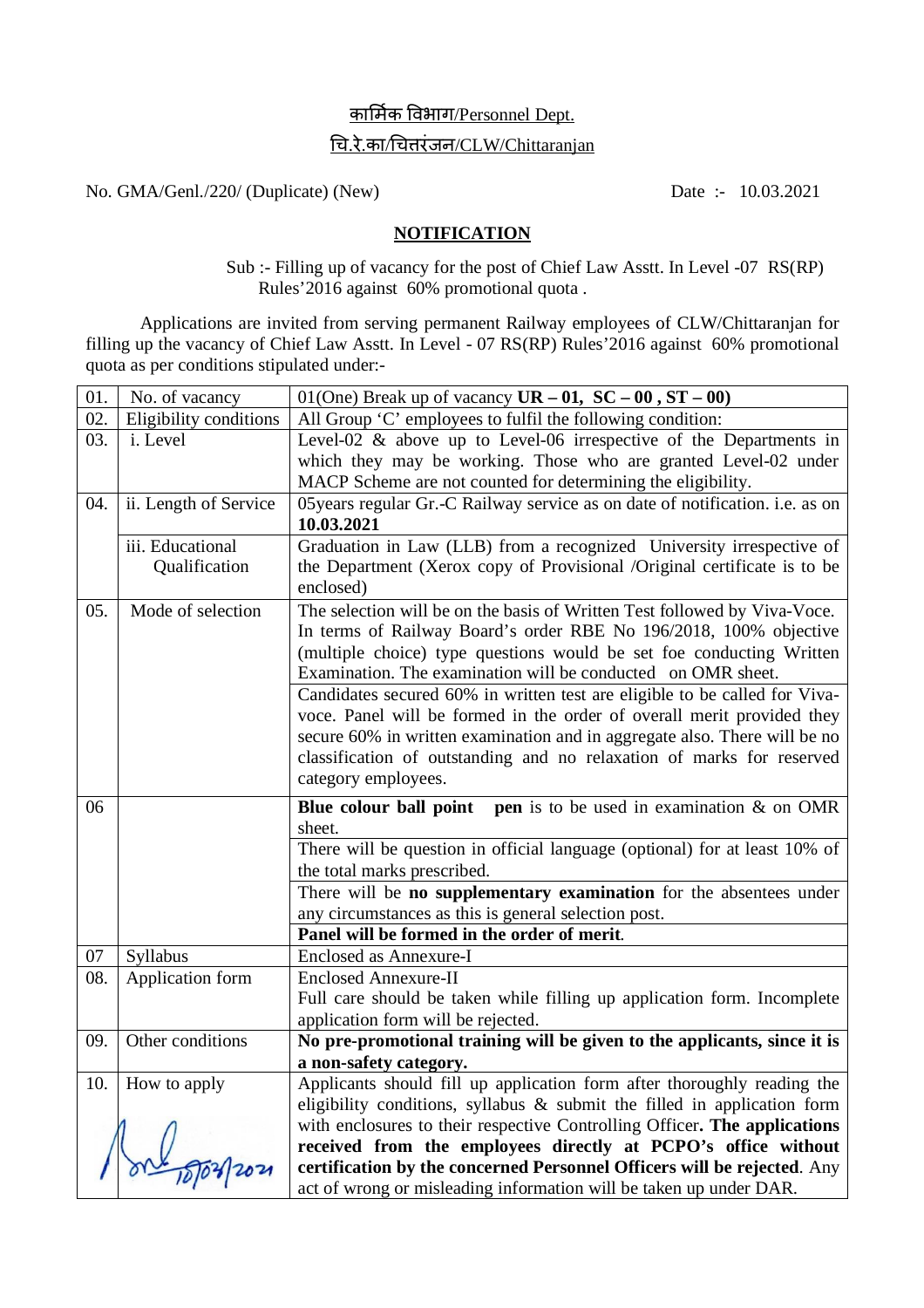## <u>कार्मिक विभाग/Personnel Dept.</u>

# ͬच.रे.का/ͬचƣरंजन/CLW/Chittaranjan

No. GMA/Genl./220/ (Duplicate) (New) Date :- 10.03.2021

#### **NOTIFICATION**

 Sub :- Filling up of vacancy for the post of Chief Law Asstt. In Level -07 RS(RP) Rules'2016 against 60% promotional quota .

Applications are invited from serving permanent Railway employees of CLW/Chittaranjan for filling up the vacancy of Chief Law Asstt. In Level - 07 RS(RP) Rules'2016 against 60% promotional quota as per conditions stipulated under:-

| 01. | No. of vacancy         | 01(One) Break up of vacancy $UR - 01$ , $SC - 00$ , $ST - 00$ )                                                                               |
|-----|------------------------|-----------------------------------------------------------------------------------------------------------------------------------------------|
| 02. | Eligibility conditions | All Group 'C' employees to fulfil the following condition:                                                                                    |
| 03. | i. Level               | Level-02 $\&$ above up to Level-06 irrespective of the Departments in                                                                         |
|     |                        | which they may be working. Those who are granted Level-02 under                                                                               |
|     |                        | MACP Scheme are not counted for determining the eligibility.                                                                                  |
| 04. | ii. Length of Service  | 05 years regular Gr.-C Railway service as on date of notification. i.e. as on                                                                 |
|     |                        | 10.03.2021                                                                                                                                    |
|     | iii. Educational       | Graduation in Law (LLB) from a recognized University irrespective of                                                                          |
|     | Qualification          | the Department (Xerox copy of Provisional /Original certificate is to be                                                                      |
|     |                        | enclosed)                                                                                                                                     |
| 05. | Mode of selection      | The selection will be on the basis of Written Test followed by Viva-Voce.                                                                     |
|     |                        | In terms of Railway Board's order RBE No 196/2018, 100% objective                                                                             |
|     |                        | (multiple choice) type questions would be set foe conducting Written                                                                          |
|     |                        | Examination. The examination will be conducted on OMR sheet.                                                                                  |
|     |                        | Candidates secured 60% in written test are eligible to be called for Viva-                                                                    |
|     |                        | voce. Panel will be formed in the order of overall merit provided they                                                                        |
|     |                        | secure 60% in written examination and in aggregate also. There will be no                                                                     |
|     |                        | classification of outstanding and no relaxation of marks for reserved                                                                         |
|     |                        | category employees.                                                                                                                           |
|     |                        |                                                                                                                                               |
| 06  |                        | <b>Blue colour ball point</b> pen is to be used in examination $\&$ on OMR                                                                    |
|     |                        | sheet.                                                                                                                                        |
|     |                        | There will be question in official language (optional) for at least 10% of                                                                    |
|     |                        | the total marks prescribed.                                                                                                                   |
|     |                        | There will be no supplementary examination for the absentees under                                                                            |
|     |                        | any circumstances as this is general selection post.                                                                                          |
|     |                        | Panel will be formed in the order of merit.                                                                                                   |
| 07  | Syllabus               | <b>Enclosed as Annexure-I</b>                                                                                                                 |
| 08. | Application form       | <b>Enclosed Annexure-II</b>                                                                                                                   |
|     |                        | Full care should be taken while filling up application form. Incomplete                                                                       |
|     |                        | application form will be rejected.                                                                                                            |
| 09. | Other conditions       | No pre-promotional training will be given to the applicants, since it is                                                                      |
|     |                        | a non-safety category.                                                                                                                        |
| 10. | How to apply           | Applicants should fill up application form after thoroughly reading the                                                                       |
|     |                        | eligibility conditions, syllabus $\&$ submit the filled in application form                                                                   |
|     |                        | with enclosures to their respective Controlling Officer. The applications                                                                     |
|     |                        | received from the employees directly at PCPO's office without                                                                                 |
|     |                        | certification by the concerned Personnel Officers will be rejected. Any<br>act of wrong or misleading information will be taken up under DAR. |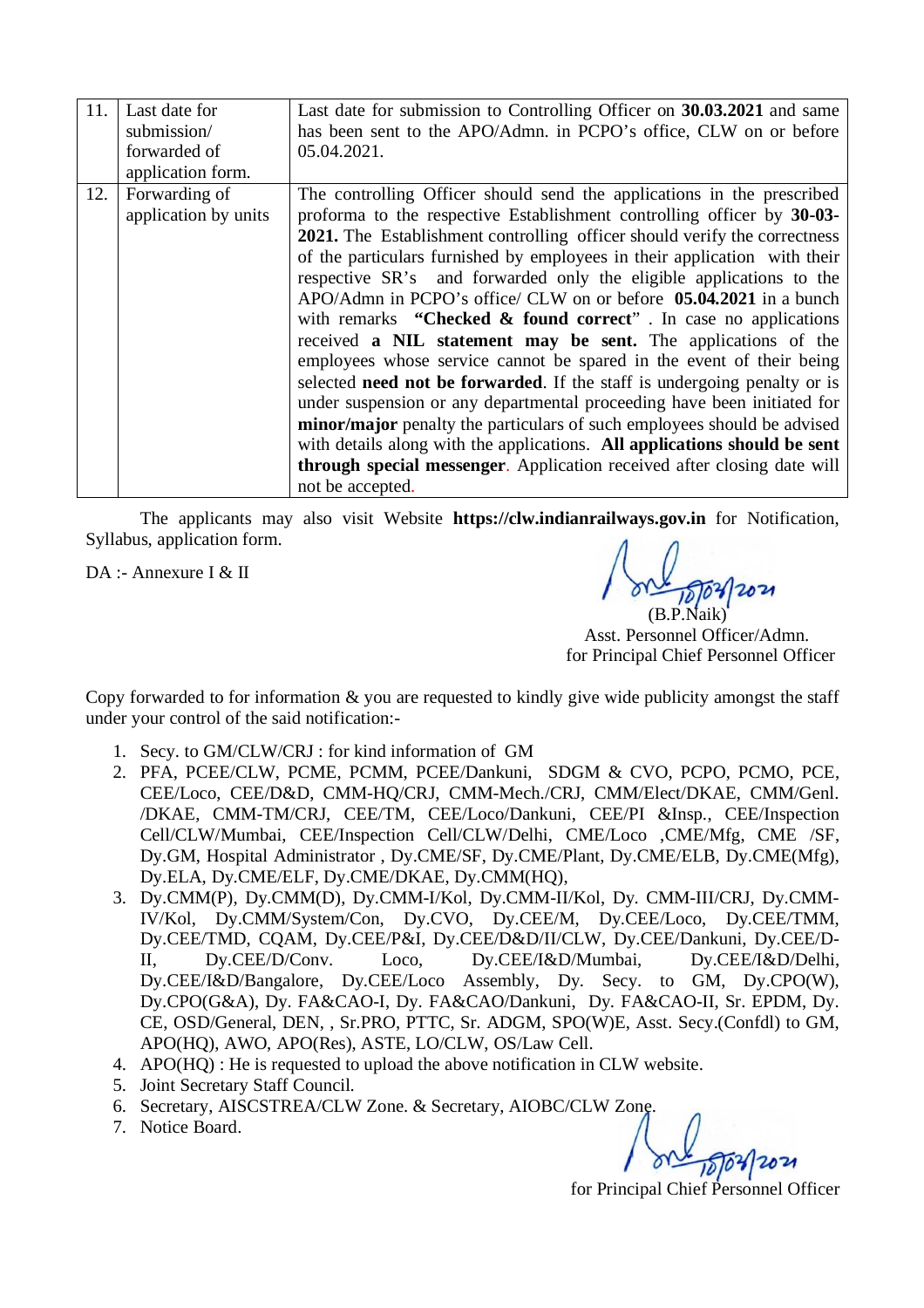| 11. | Last date for<br>submission/<br>forwarded of | Last date for submission to Controlling Officer on 30.03.2021 and same<br>has been sent to the APO/Admn. in PCPO's office, CLW on or before<br>05.04.2021.                                                                                                                                                                                                                                                                                                                                                                                                                                                                                                                                                                                                                                                                                                                                                                                                                                                                                                             |
|-----|----------------------------------------------|------------------------------------------------------------------------------------------------------------------------------------------------------------------------------------------------------------------------------------------------------------------------------------------------------------------------------------------------------------------------------------------------------------------------------------------------------------------------------------------------------------------------------------------------------------------------------------------------------------------------------------------------------------------------------------------------------------------------------------------------------------------------------------------------------------------------------------------------------------------------------------------------------------------------------------------------------------------------------------------------------------------------------------------------------------------------|
|     | application form.                            |                                                                                                                                                                                                                                                                                                                                                                                                                                                                                                                                                                                                                                                                                                                                                                                                                                                                                                                                                                                                                                                                        |
| 12. | Forwarding of<br>application by units        | The controlling Officer should send the applications in the prescribed<br>proforma to the respective Establishment controlling officer by 30-03-<br>2021. The Establishment controlling officer should verify the correctness<br>of the particulars furnished by employees in their application with their<br>respective SR's and forwarded only the eligible applications to the<br>APO/Admn in PCPO's office/ CLW on or before <b>05.04.2021</b> in a bunch<br>with remarks "Checked $\&$ found correct". In case no applications<br>received a NIL statement may be sent. The applications of the<br>employees whose service cannot be spared in the event of their being<br>selected need not be forwarded. If the staff is undergoing penalty or is<br>under suspension or any departmental proceeding have been initiated for<br>minor/major penalty the particulars of such employees should be advised<br>with details along with the applications. All applications should be sent<br>through special messenger. Application received after closing date will |
|     |                                              | not be accepted.                                                                                                                                                                                                                                                                                                                                                                                                                                                                                                                                                                                                                                                                                                                                                                                                                                                                                                                                                                                                                                                       |

The applicants may also visit Website **<https://clw.indianrailways.gov.in>** for Notification, Syllabus, application form.

DA :- Annexure I & II

 (B.P.Naik) Asst. Personnel Officer/Admn. for Principal Chief Personnel Officer

Copy forwarded to for information & you are requested to kindly give wide publicity amongst the staff under your control of the said notification:-

- 1. Secy. to GM/CLW/CRJ : for kind information of GM
- 2. PFA, PCEE/CLW, PCME, PCMM, PCEE/Dankuni, SDGM & CVO, PCPO, PCMO, PCE, CEE/Loco, CEE/D&D, CMM-HQ/CRJ, CMM-Mech./CRJ, CMM/Elect/DKAE, CMM/Genl. /DKAE, CMM-TM/CRJ, CEE/TM, CEE/Loco/Dankuni, CEE/PI &Insp., CEE/Inspection Cell/CLW/Mumbai, CEE/Inspection Cell/CLW/Delhi, CME/Loco ,CME/Mfg, CME /SF, Dy.GM, Hospital Administrator , Dy.CME/SF, Dy.CME/Plant, Dy.CME/ELB, Dy.CME(Mfg), Dy.ELA, Dy.CME/ELF, Dy.CME/DKAE, Dy.CMM(HQ),
- 3. Dy.CMM(P), Dy.CMM(D), Dy.CMM-I/Kol, Dy.CMM-II/Kol, Dy. CMM-III/CRJ, Dy.CMM-IV/Kol, Dy.CMM/System/Con, Dy.CVO, Dy.CEE/M, Dy.CEE/Loco, Dy.CEE/TMM, Dy.CEE/TMD, CQAM, Dy.CEE/P&I, Dy.CEE/D&D/II/CLW, Dy.CEE/Dankuni, Dy.CEE/D-II, Dy.CEE/D/Conv. Loco, Dy.CEE/I&D/Mumbai, Dy.CEE/I&D/Delhi, Dy.CEE/I&D/Bangalore, Dy.CEE/Loco Assembly, Dy. Secy. to GM, Dy.CPO(W), Dy.CPO(G&A), Dy. FA&CAO-I, Dy. FA&CAO/Dankuni, Dy. FA&CAO-II, Sr. EPDM, Dy. CE, OSD/General, DEN, , Sr.PRO, PTTC, Sr. ADGM, SPO(W)E, Asst. Secy.(Confdl) to GM, APO(HQ), AWO, APO(Res), ASTE, LO/CLW, OS/Law Cell.
- 4. APO(HQ) : He is requested to upload the above notification in CLW website.
- 5. Joint Secretary Staff Council.
- 6. Secretary, AISCSTREA/CLW Zone. & Secretary, AIOBC/CLW Zone.
- 7. Notice Board.

for Principal Chief Personnel Officer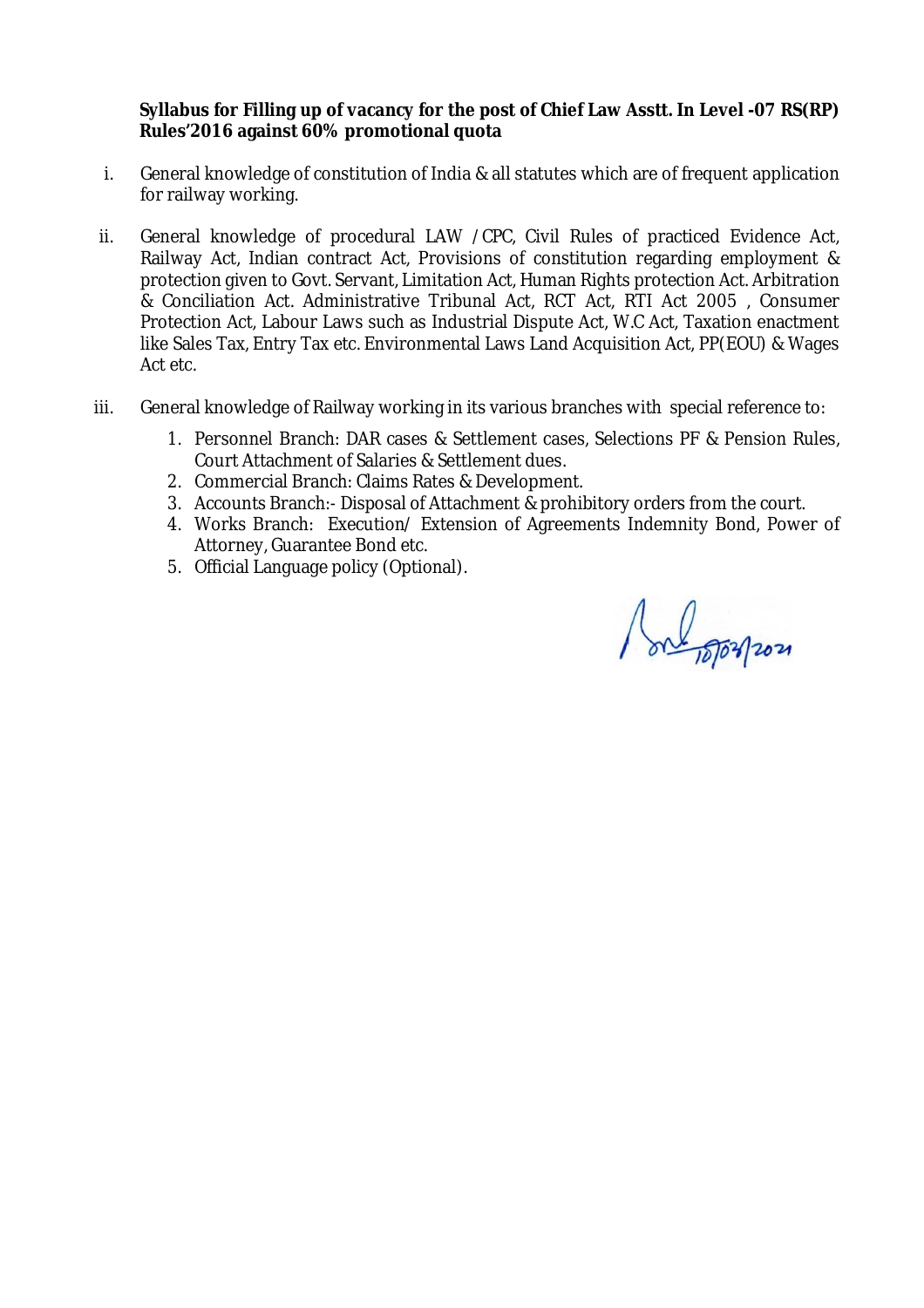## **Syllabus for Filling up of vacancy for the post of Chief Law Asstt. In Level -07 RS(RP) Rules'2016 against 60% promotional quota**

- i. General knowledge of constitution of India & all statutes which are of frequent application for railway working.
- ii. General knowledge of procedural LAW /CPC, Civil Rules of practiced Evidence Act, Railway Act, Indian contract Act, Provisions of constitution regarding employment & protection given to Govt. Servant, Limitation Act, Human Rights protection Act. Arbitration & Conciliation Act. Administrative Tribunal Act, RCT Act, RTI Act 2005 , Consumer Protection Act, Labour Laws such as Industrial Dispute Act, W.C Act, Taxation enactment like Sales Tax, Entry Tax etc. Environmental Laws Land Acquisition Act, PP(EOU) & Wages Act etc.
- iii. General knowledge of Railway working in its various branches with special reference to:
	- 1. Personnel Branch: DAR cases & Settlement cases, Selections PF & Pension Rules, Court Attachment of Salaries & Settlement dues.
	- 2. Commercial Branch: Claims Rates & Development.
	- 3. Accounts Branch:- Disposal of Attachment & prohibitory orders from the court.
	- 4. Works Branch: Execution/ Extension of Agreements Indemnity Bond, Power of Attorney, Guarantee Bond etc.
	- 5. Official Language policy (Optional).

Port of officers